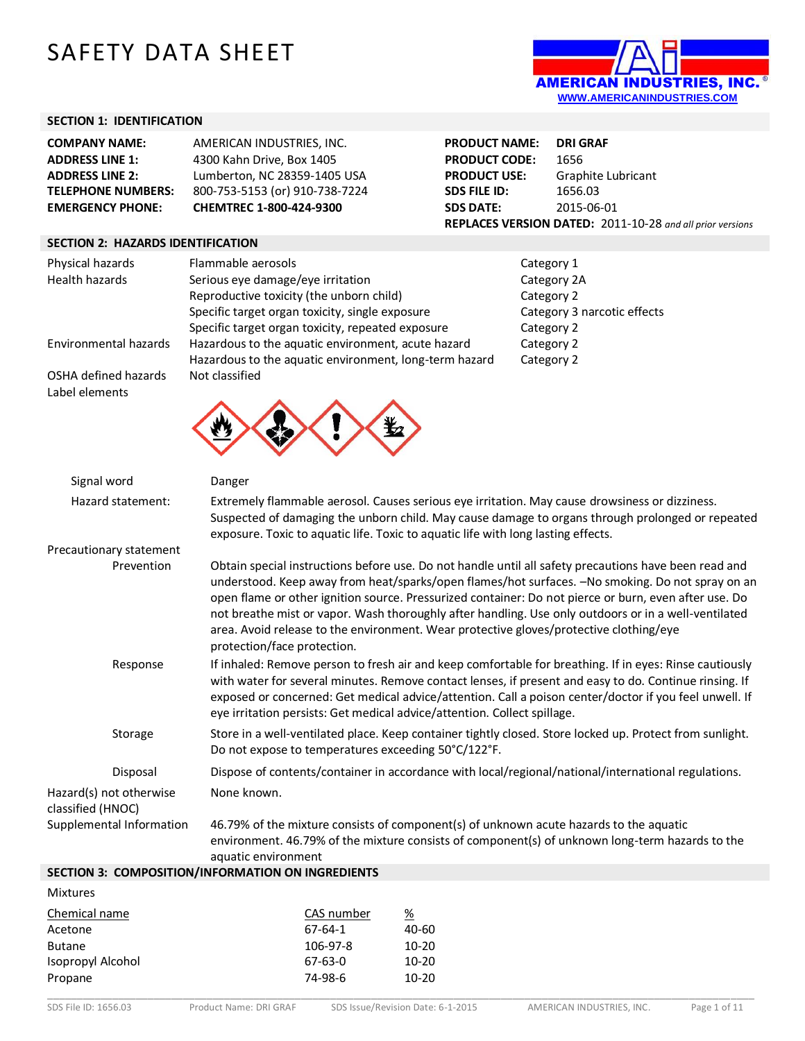# SAFETY DATA SHEET



## **SECTION 1: IDENTIFICATION**

| <b>COMPANY NAME:</b>      | AMERICAN INDUSTRIES, INC.      |
|---------------------------|--------------------------------|
| <b>ADDRESS LINE 1:</b>    | 4300 Kahn Drive, Box 1405      |
| <b>ADDRESS LINE 2:</b>    | Lumberton, NC 28359-1405 USA   |
| <b>TELEPHONE NUMBERS:</b> | 800-753-5153 (or) 910-738-7224 |
| <b>EMERGENCY PHONE:</b>   | CHEMTREC 1-800-424-9300        |

#### **SECTION 2: HAZARDS IDENTIFICATION**

| <b>PRODUCT NAME:</b>                                      | DRI GRAF           |  |  |
|-----------------------------------------------------------|--------------------|--|--|
| <b>PRODUCT CODE:</b>                                      | 1656               |  |  |
| <b>PRODUCT USE:</b>                                       | Graphite Lubricant |  |  |
| <b>SDS FILE ID:</b>                                       | 1656.03            |  |  |
| <b>SDS DATE:</b>                                          | 2015-06-01         |  |  |
| REPLACES VERSION DATED: 2011-10-28 and all prior versions |                    |  |  |

| Physical hazards                       | Flammable aerosols                                     | Category 1                  |
|----------------------------------------|--------------------------------------------------------|-----------------------------|
| Health hazards                         | Serious eye damage/eye irritation                      | Category 2A                 |
|                                        | Reproductive toxicity (the unborn child)               | Category 2                  |
|                                        | Specific target organ toxicity, single exposure        | Category 3 narcotic effects |
|                                        | Specific target organ toxicity, repeated exposure      | Category 2                  |
| Environmental hazards                  | Hazardous to the aquatic environment, acute hazard     | Category 2                  |
|                                        | Hazardous to the aquatic environment, long-term hazard | Category 2                  |
| OSHA defined hazards<br>Label elements | Not classified                                         |                             |
|                                        |                                                        |                             |

 $\ddot{\bullet}$ 

W

| Signal word                                  | Danger                                                                                                                                                                                                                                                                                                                                                                                                                                                                                                                                              |
|----------------------------------------------|-----------------------------------------------------------------------------------------------------------------------------------------------------------------------------------------------------------------------------------------------------------------------------------------------------------------------------------------------------------------------------------------------------------------------------------------------------------------------------------------------------------------------------------------------------|
| Hazard statement:                            | Extremely flammable aerosol. Causes serious eye irritation. May cause drowsiness or dizziness.<br>Suspected of damaging the unborn child. May cause damage to organs through prolonged or repeated<br>exposure. Toxic to aquatic life. Toxic to aquatic life with long lasting effects.                                                                                                                                                                                                                                                             |
| Precautionary statement                      |                                                                                                                                                                                                                                                                                                                                                                                                                                                                                                                                                     |
| Prevention                                   | Obtain special instructions before use. Do not handle until all safety precautions have been read and<br>understood. Keep away from heat/sparks/open flames/hot surfaces. -No smoking. Do not spray on an<br>open flame or other ignition source. Pressurized container: Do not pierce or burn, even after use. Do<br>not breathe mist or vapor. Wash thoroughly after handling. Use only outdoors or in a well-ventilated<br>area. Avoid release to the environment. Wear protective gloves/protective clothing/eye<br>protection/face protection. |
| Response                                     | If inhaled: Remove person to fresh air and keep comfortable for breathing. If in eyes: Rinse cautiously<br>with water for several minutes. Remove contact lenses, if present and easy to do. Continue rinsing. If<br>exposed or concerned: Get medical advice/attention. Call a poison center/doctor if you feel unwell. If<br>eye irritation persists: Get medical advice/attention. Collect spillage.                                                                                                                                             |
| Storage                                      | Store in a well-ventilated place. Keep container tightly closed. Store locked up. Protect from sunlight.<br>Do not expose to temperatures exceeding 50°C/122°F.                                                                                                                                                                                                                                                                                                                                                                                     |
| Disposal                                     | Dispose of contents/container in accordance with local/regional/national/international regulations.                                                                                                                                                                                                                                                                                                                                                                                                                                                 |
| Hazard(s) not otherwise<br>classified (HNOC) | None known.                                                                                                                                                                                                                                                                                                                                                                                                                                                                                                                                         |
| Supplemental Information                     | 46.79% of the mixture consists of component(s) of unknown acute hazards to the aquatic<br>environment. 46.79% of the mixture consists of component(s) of unknown long-term hazards to the<br>aquatic environment                                                                                                                                                                                                                                                                                                                                    |
|                                              | SECTION 3: COMPOSITION/INFORMATION ON INGREDIENTS                                                                                                                                                                                                                                                                                                                                                                                                                                                                                                   |

#### **SECTION 3: COMPOSITION/INFORMATION ON INGREDIENTS**

| <b>Mixtures</b>   |            |          |
|-------------------|------------|----------|
| Chemical name     | CAS number | <u>%</u> |
| Acetone           | 67-64-1    | 40-60    |
| <b>Butane</b>     | 106-97-8   | $10-20$  |
| Isopropyl Alcohol | $67-63-0$  | $10-20$  |
| Propane           | 74-98-6    | $10-20$  |
|                   |            |          |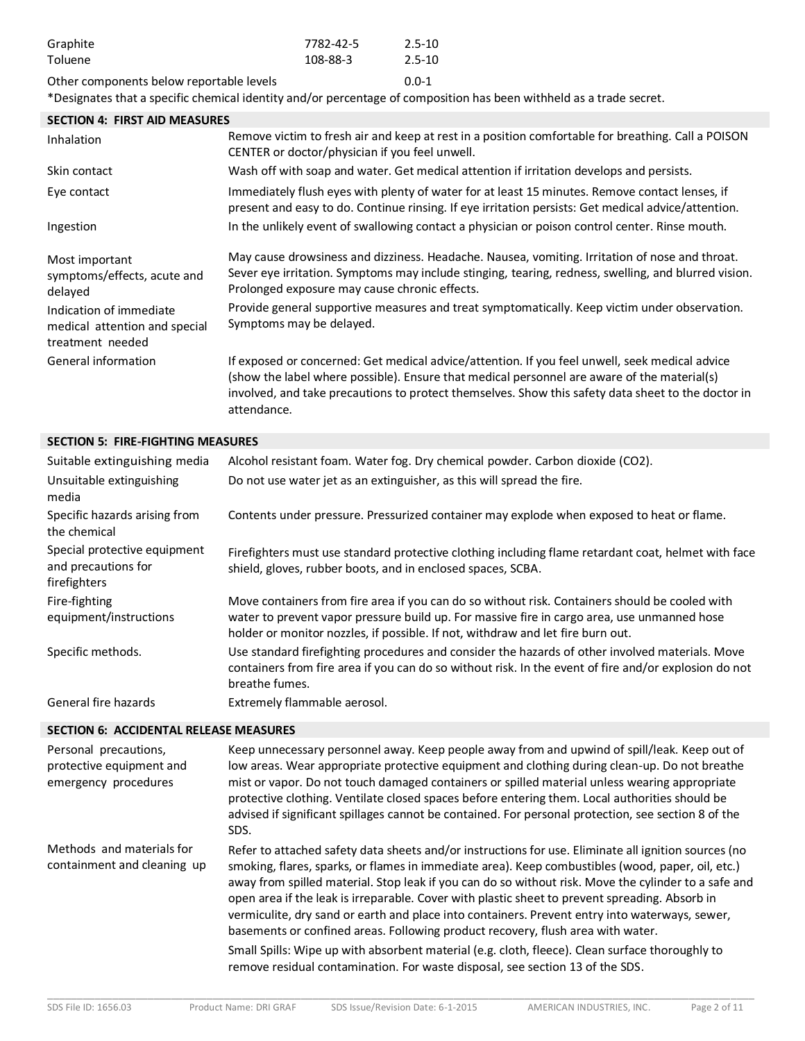| Graphite                                 | 7782-42-5 | $2.5 - 10$ |
|------------------------------------------|-----------|------------|
| Toluene                                  | 108-88-3  | $2.5 - 10$ |
| Other components below reportable levels |           | $0.0 - 1$  |

\*Designates that a specific chemical identity and/or percentage of composition has been withheld as a trade secret.

| <b>SECTION 4: FIRST AID MEASURES</b>                                         |                                                                                                                                                                                                                                                                                                                    |
|------------------------------------------------------------------------------|--------------------------------------------------------------------------------------------------------------------------------------------------------------------------------------------------------------------------------------------------------------------------------------------------------------------|
| Inhalation                                                                   | Remove victim to fresh air and keep at rest in a position comfortable for breathing. Call a POISON<br>CENTER or doctor/physician if you feel unwell.                                                                                                                                                               |
| Skin contact                                                                 | Wash off with soap and water. Get medical attention if irritation develops and persists.                                                                                                                                                                                                                           |
| Eye contact                                                                  | Immediately flush eyes with plenty of water for at least 15 minutes. Remove contact lenses, if<br>present and easy to do. Continue rinsing. If eye irritation persists: Get medical advice/attention.                                                                                                              |
| Ingestion                                                                    | In the unlikely event of swallowing contact a physician or poison control center. Rinse mouth.                                                                                                                                                                                                                     |
| Most important<br>symptoms/effects, acute and<br>delayed                     | May cause drowsiness and dizziness. Headache. Nausea, vomiting. Irritation of nose and throat.<br>Sever eye irritation. Symptoms may include stinging, tearing, redness, swelling, and blurred vision.<br>Prolonged exposure may cause chronic effects.                                                            |
| Indication of immediate<br>medical attention and special<br>treatment needed | Provide general supportive measures and treat symptomatically. Keep victim under observation.<br>Symptoms may be delayed.                                                                                                                                                                                          |
| General information                                                          | If exposed or concerned: Get medical advice/attention. If you feel unwell, seek medical advice<br>(show the label where possible). Ensure that medical personnel are aware of the material(s)<br>involved, and take precautions to protect themselves. Show this safety data sheet to the doctor in<br>attendance. |

#### **SECTION 5: FIRE-FIGHTING MEASURES**

| Suitable extinguishing media                                        | Alcohol resistant foam. Water fog. Dry chemical powder. Carbon dioxide (CO2).                                                                                                                                                                                                    |
|---------------------------------------------------------------------|----------------------------------------------------------------------------------------------------------------------------------------------------------------------------------------------------------------------------------------------------------------------------------|
| Unsuitable extinguishing<br>media                                   | Do not use water jet as an extinguisher, as this will spread the fire.                                                                                                                                                                                                           |
| Specific hazards arising from<br>the chemical                       | Contents under pressure. Pressurized container may explode when exposed to heat or flame.                                                                                                                                                                                        |
| Special protective equipment<br>and precautions for<br>firefighters | Firefighters must use standard protective clothing including flame retardant coat, helmet with face<br>shield, gloves, rubber boots, and in enclosed spaces, SCBA.                                                                                                               |
| Fire-fighting<br>equipment/instructions                             | Move containers from fire area if you can do so without risk. Containers should be cooled with<br>water to prevent vapor pressure build up. For massive fire in cargo area, use unmanned hose<br>holder or monitor nozzles, if possible. If not, withdraw and let fire burn out. |
| Specific methods.                                                   | Use standard firefighting procedures and consider the hazards of other involved materials. Move<br>containers from fire area if you can do so without risk. In the event of fire and/or explosion do not<br>breathe fumes.                                                       |
| General fire hazards                                                | Extremely flammable aerosol.                                                                                                                                                                                                                                                     |

#### **SECTION 6: ACCIDENTAL RELEASE MEASURES**

| Personal precautions,<br>protective equipment and<br>emergency procedures | Keep unnecessary personnel away. Keep people away from and upwind of spill/leak. Keep out of<br>low areas. Wear appropriate protective equipment and clothing during clean-up. Do not breathe<br>mist or vapor. Do not touch damaged containers or spilled material unless wearing appropriate<br>protective clothing. Ventilate closed spaces before entering them. Local authorities should be<br>advised if significant spillages cannot be contained. For personal protection, see section 8 of the<br>SDS.                                                                                                                                                                                                                                                                              |
|---------------------------------------------------------------------------|----------------------------------------------------------------------------------------------------------------------------------------------------------------------------------------------------------------------------------------------------------------------------------------------------------------------------------------------------------------------------------------------------------------------------------------------------------------------------------------------------------------------------------------------------------------------------------------------------------------------------------------------------------------------------------------------------------------------------------------------------------------------------------------------|
| Methods and materials for<br>containment and cleaning up                  | Refer to attached safety data sheets and/or instructions for use. Eliminate all ignition sources (no<br>smoking, flares, sparks, or flames in immediate area). Keep combustibles (wood, paper, oil, etc.)<br>away from spilled material. Stop leak if you can do so without risk. Move the cylinder to a safe and<br>open area if the leak is irreparable. Cover with plastic sheet to prevent spreading. Absorb in<br>vermiculite, dry sand or earth and place into containers. Prevent entry into waterways, sewer,<br>basements or confined areas. Following product recovery, flush area with water.<br>Small Spills: Wipe up with absorbent material (e.g. cloth, fleece). Clean surface thoroughly to<br>remove residual contamination. For waste disposal, see section 13 of the SDS. |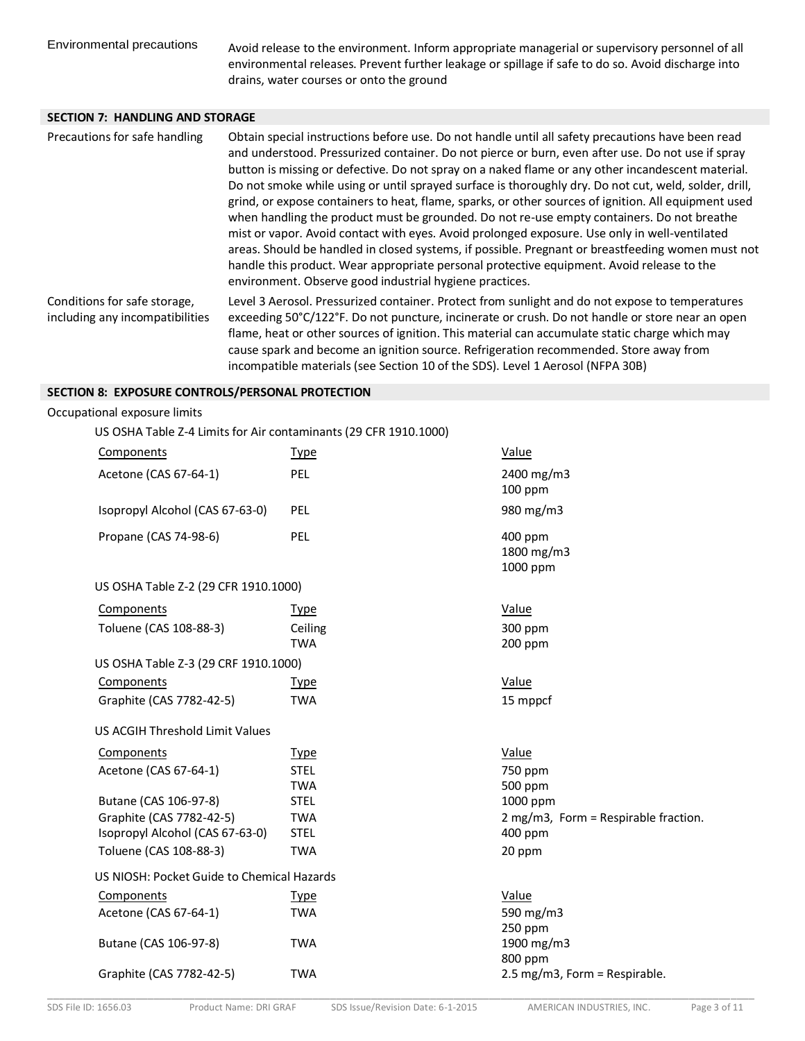Environmental precautions Avoid release to the environment. Inform appropriate managerial or supervisory personnel of all environmental releases. Prevent further leakage or spillage if safe to do so. Avoid discharge into drains, water courses or onto the ground

## **SECTION 7: HANDLING AND STORAGE**

| Precautions for safe handling                                   | Obtain special instructions before use. Do not handle until all safety precautions have been read<br>and understood. Pressurized container. Do not pierce or burn, even after use. Do not use if spray<br>button is missing or defective. Do not spray on a naked flame or any other incandescent material.<br>Do not smoke while using or until sprayed surface is thoroughly dry. Do not cut, weld, solder, drill,<br>grind, or expose containers to heat, flame, sparks, or other sources of ignition. All equipment used<br>when handling the product must be grounded. Do not re-use empty containers. Do not breathe<br>mist or vapor. Avoid contact with eyes. Avoid prolonged exposure. Use only in well-ventilated<br>areas. Should be handled in closed systems, if possible. Pregnant or breastfeeding women must not<br>handle this product. Wear appropriate personal protective equipment. Avoid release to the<br>environment. Observe good industrial hygiene practices. |  |
|-----------------------------------------------------------------|------------------------------------------------------------------------------------------------------------------------------------------------------------------------------------------------------------------------------------------------------------------------------------------------------------------------------------------------------------------------------------------------------------------------------------------------------------------------------------------------------------------------------------------------------------------------------------------------------------------------------------------------------------------------------------------------------------------------------------------------------------------------------------------------------------------------------------------------------------------------------------------------------------------------------------------------------------------------------------------|--|
| Conditions for safe storage,<br>including any incompatibilities | Level 3 Aerosol. Pressurized container. Protect from sunlight and do not expose to temperatures<br>exceeding 50°C/122°F. Do not puncture, incinerate or crush. Do not handle or store near an open<br>flame, heat or other sources of ignition. This material can accumulate static charge which may<br>cause spark and become an ignition source. Refrigeration recommended. Store away from<br>incompatible materials (see Section 10 of the SDS). Level 1 Aerosol (NFPA 30B)                                                                                                                                                                                                                                                                                                                                                                                                                                                                                                          |  |

#### **SECTION 8: EXPOSURE CONTROLS/PERSONAL PROTECTION**

#### Occupational exposure limits

US OSHA Table Z-4 Limits for Air contaminants (29 CFR 1910.1000)

| Components                                 | <b>Type</b>               | Value                                |
|--------------------------------------------|---------------------------|--------------------------------------|
| Acetone (CAS 67-64-1)                      | PEL                       | 2400 mg/m3<br>$100$ ppm              |
| Isopropyl Alcohol (CAS 67-63-0)            | <b>PEL</b>                | 980 mg/m3                            |
| Propane (CAS 74-98-6)                      | PEL                       | 400 ppm<br>1800 mg/m3<br>1000 ppm    |
| US OSHA Table Z-2 (29 CFR 1910.1000)       |                           |                                      |
| Components                                 | Type                      | Value                                |
| Toluene (CAS 108-88-3)                     | Ceiling<br><b>TWA</b>     | 300 ppm<br>200 ppm                   |
| US OSHA Table Z-3 (29 CRF 1910.1000)       |                           |                                      |
| Components                                 | <b>Type</b>               | Value                                |
| Graphite (CAS 7782-42-5)                   | <b>TWA</b>                | 15 mppcf                             |
| US ACGIH Threshold Limit Values            |                           |                                      |
| Components                                 | <b>Type</b>               | Value                                |
| Acetone (CAS 67-64-1)                      | <b>STEL</b><br><b>TWA</b> | 750 ppm<br>500 ppm                   |
| Butane (CAS 106-97-8)                      | <b>STEL</b>               | 1000 ppm                             |
| Graphite (CAS 7782-42-5)                   | <b>TWA</b>                | 2 mg/m3, Form = Respirable fraction. |
| Isopropyl Alcohol (CAS 67-63-0)            | <b>STEL</b>               | 400 ppm                              |
| Toluene (CAS 108-88-3)                     | <b>TWA</b>                | 20 ppm                               |
| US NIOSH: Pocket Guide to Chemical Hazards |                           |                                      |
| Components                                 | <b>Type</b>               | Value                                |
| Acetone (CAS 67-64-1)                      | <b>TWA</b>                | 590 mg/m3                            |
| Butane (CAS 106-97-8)                      | <b>TWA</b>                | 250 ppm<br>1900 mg/m3<br>800 ppm     |
| Graphite (CAS 7782-42-5)                   | <b>TWA</b>                | 2.5 mg/m3, Form = Respirable.        |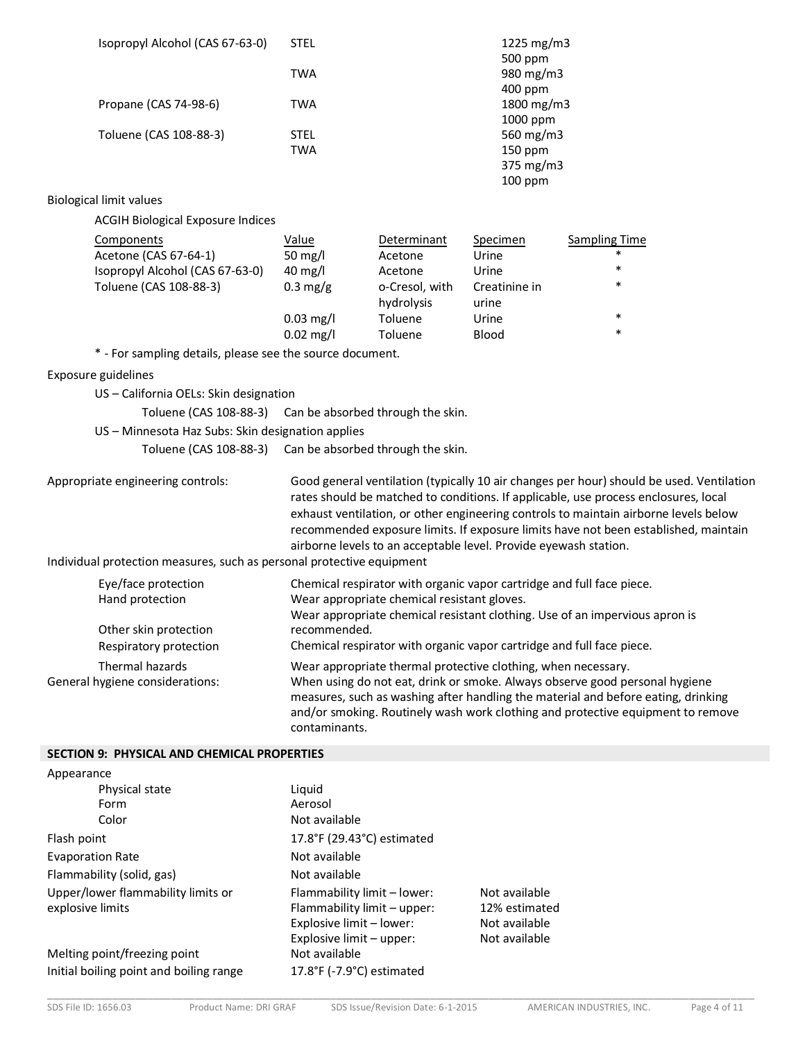| Isopropyl Alcohol (CAS 67-63-0)                           | <b>STEL</b>         |                | 1225 mg/m3           |                      |
|-----------------------------------------------------------|---------------------|----------------|----------------------|----------------------|
|                                                           | <b>TWA</b>          |                | 500 ppm<br>980 mg/m3 |                      |
|                                                           |                     |                | 400 ppm              |                      |
| Propane (CAS 74-98-6)                                     | <b>TWA</b>          |                | 1800 mg/m3           |                      |
|                                                           |                     |                | 1000 ppm             |                      |
| Toluene (CAS 108-88-3)                                    | <b>STEL</b>         |                | 560 mg/m3            |                      |
|                                                           | <b>TWA</b>          |                | 150 ppm              |                      |
|                                                           |                     |                | 375 mg/m3            |                      |
|                                                           |                     |                | 100 ppm              |                      |
| <b>Biological limit values</b>                            |                     |                |                      |                      |
| <b>ACGIH Biological Exposure Indices</b>                  |                     |                |                      |                      |
| Components                                                | Value               | Determinant    | Specimen             | <b>Sampling Time</b> |
| Acetone (CAS 67-64-1)                                     | 50 mg/l             | Acetone        | Urine                | $\ast$               |
| Isopropyl Alcohol (CAS 67-63-0)                           | $40 \text{ mg/l}$   | Acetone        | Urine                | $\ast$               |
| Toluene (CAS 108-88-3)                                    | $0.3 \text{ mg/g}$  | o-Cresol, with | Creatinine in        | $\ast$               |
|                                                           |                     | hydrolysis     | urine                |                      |
|                                                           | $0.03$ mg/l         | Toluene        | Urine                | $\ast$<br>$\ast$     |
|                                                           | $0.02 \text{ mg/l}$ | Toluene        | <b>Blood</b>         |                      |
| * - For sampling details, please see the source document. |                     |                |                      |                      |
| Exposure guidelines                                       |                     |                |                      |                      |
| US – California OELs: Skin designation                    |                     |                |                      |                      |
| Toluene (CAS 108-88-3) Can be absorbed through the skin.  |                     |                |                      |                      |
| US - Minnesota Haz Subs: Skin designation applies         |                     |                |                      |                      |
| Toluene (CAS 108-88-3) Can be absorbed through the skin.  |                     |                |                      |                      |

Appropriate engineering controls: Good general ventilation (typically 10 air changes per hour) should be used. Ventilation rates should be matched to conditions. If applicable, use process enclosures, local exhaust ventilation, or other engineering controls to maintain airborne levels below recommended exposure limits. If exposure limits have not been established, maintain airborne levels to an acceptable level. Provide eyewash station.

Individual protection measures, such as personal protective equipment

| Eye/face protection<br>Hand protection             | Chemical respirator with organic vapor cartridge and full face piece.<br>Wear appropriate chemical resistant gloves.<br>Wear appropriate chemical resistant clothing. Use of an impervious apron is                                                                                                                                   |
|----------------------------------------------------|---------------------------------------------------------------------------------------------------------------------------------------------------------------------------------------------------------------------------------------------------------------------------------------------------------------------------------------|
| Other skin protection                              | recommended.                                                                                                                                                                                                                                                                                                                          |
| Respiratory protection                             | Chemical respirator with organic vapor cartridge and full face piece.                                                                                                                                                                                                                                                                 |
| Thermal hazards<br>General hygiene considerations: | Wear appropriate thermal protective clothing, when necessary.<br>When using do not eat, drink or smoke. Always observe good personal hygiene<br>measures, such as washing after handling the material and before eating, drinking<br>and/or smoking. Routinely wash work clothing and protective equipment to remove<br>contaminants. |

#### **SECTION 9: PHYSICAL AND CHEMICAL PROPERTIES**

| Appearance                              |                               |               |
|-----------------------------------------|-------------------------------|---------------|
| Physical state                          | Liquid                        |               |
| Form                                    | Aerosol                       |               |
| Color                                   | Not available                 |               |
| Flash point                             | 17.8°F (29.43°C) estimated    |               |
| <b>Evaporation Rate</b>                 | Not available                 |               |
| Flammability (solid, gas)               | Not available                 |               |
| Upper/lower flammability limits or      | Flammability limit - lower:   | Not available |
| explosive limits                        | Flammability limit - upper:   | 12% estimated |
|                                         | Explosive limit - lower:      | Not available |
|                                         | Explosive limit – upper:      | Not available |
| Melting point/freezing point            | Not available                 |               |
| Initial boiling point and boiling range | 17.8°F ( $-7.9$ °C) estimated |               |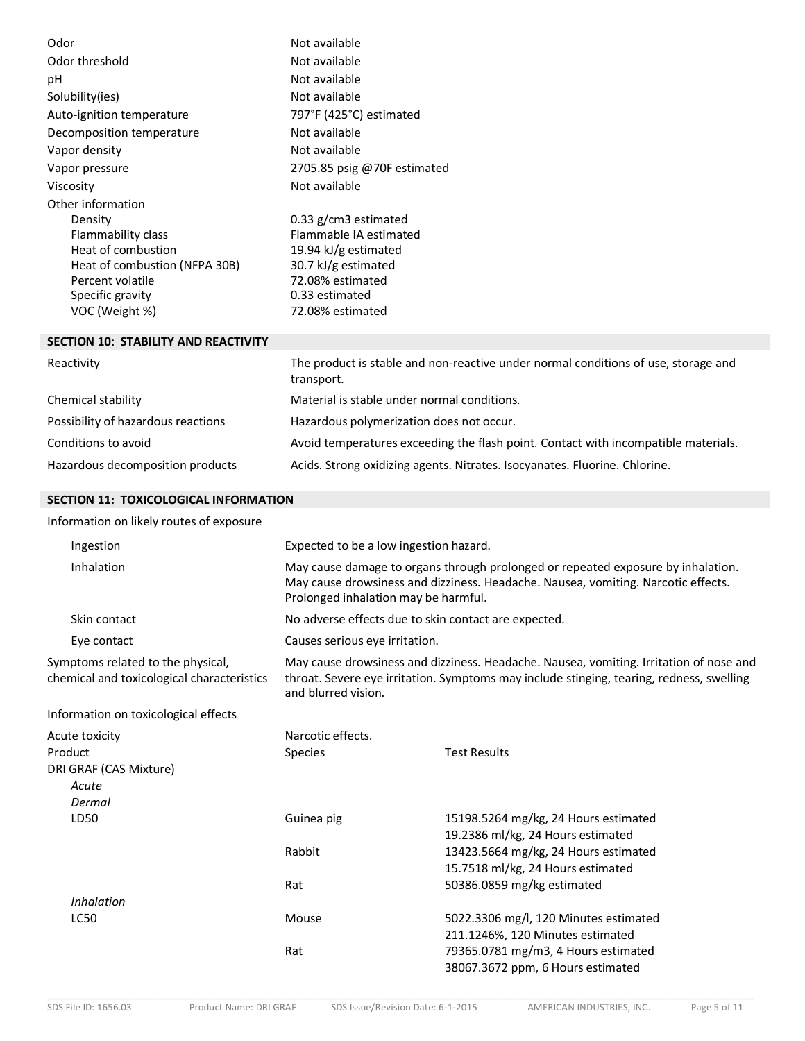| Odor                                        | Not available               |
|---------------------------------------------|-----------------------------|
| Odor threshold                              | Not available               |
| рH                                          | Not available               |
| Solubility(ies)                             | Not available               |
| Auto-ignition temperature                   | 797°F (425°C) estimated     |
| Decomposition temperature                   | Not available               |
| Vapor density                               | Not available               |
| Vapor pressure                              | 2705.85 psig @70F estimated |
| Viscosity                                   | Not available               |
| Other information                           |                             |
| Density                                     | 0.33 $g/cm3$ estimated      |
| Flammability class                          | Flammable IA estimated      |
| Heat of combustion                          | 19.94 kJ/g estimated        |
| Heat of combustion (NFPA 30B)               | 30.7 kJ/g estimated         |
| Percent volatile                            | 72.08% estimated            |
| Specific gravity                            | 0.33 estimated              |
| VOC (Weight %)                              | 72.08% estimated            |
| <b>SECTION 10: STABILITY AND REACTIVITY</b> |                             |

| Reactivity                         | The product is stable and non-reactive under normal conditions of use, storage and<br>transport. |
|------------------------------------|--------------------------------------------------------------------------------------------------|
| Chemical stability                 | Material is stable under normal conditions.                                                      |
| Possibility of hazardous reactions | Hazardous polymerization does not occur.                                                         |
| Conditions to avoid                | Avoid temperatures exceeding the flash point. Contact with incompatible materials.               |
| Hazardous decomposition products   | Acids. Strong oxidizing agents. Nitrates. Isocyanates. Fluorine. Chlorine.                       |

# **SECTION 11: TOXICOLOGICAL INFORMATION**

Information on likely routes of exposure

| Ingestion                                                                       | Expected to be a low ingestion hazard.                                                                                                                                                                        |                                                                                                                                                        |  |
|---------------------------------------------------------------------------------|---------------------------------------------------------------------------------------------------------------------------------------------------------------------------------------------------------------|--------------------------------------------------------------------------------------------------------------------------------------------------------|--|
| Inhalation                                                                      | May cause damage to organs through prolonged or repeated exposure by inhalation.<br>May cause drowsiness and dizziness. Headache. Nausea, vomiting. Narcotic effects.<br>Prolonged inhalation may be harmful. |                                                                                                                                                        |  |
| Skin contact                                                                    | No adverse effects due to skin contact are expected.                                                                                                                                                          |                                                                                                                                                        |  |
| Eye contact                                                                     | Causes serious eye irritation.                                                                                                                                                                                |                                                                                                                                                        |  |
| Symptoms related to the physical,<br>chemical and toxicological characteristics | May cause drowsiness and dizziness. Headache. Nausea, vomiting. Irritation of nose and<br>throat. Severe eye irritation. Symptoms may include stinging, tearing, redness, swelling<br>and blurred vision.     |                                                                                                                                                        |  |
| Information on toxicological effects                                            |                                                                                                                                                                                                               |                                                                                                                                                        |  |
| Acute toxicity<br>Product<br>DRI GRAF (CAS Mixture)<br>Acute<br>Dermal          | Narcotic effects.<br><b>Species</b>                                                                                                                                                                           | <b>Test Results</b>                                                                                                                                    |  |
| LD50                                                                            | Guinea pig<br>Rabbit                                                                                                                                                                                          | 15198.5264 mg/kg, 24 Hours estimated<br>19.2386 ml/kg, 24 Hours estimated<br>13423.5664 mg/kg, 24 Hours estimated<br>15.7518 ml/kg, 24 Hours estimated |  |
| <b>Inhalation</b>                                                               | Rat                                                                                                                                                                                                           | 50386.0859 mg/kg estimated                                                                                                                             |  |
| <b>LC50</b>                                                                     | Mouse                                                                                                                                                                                                         | 5022.3306 mg/l, 120 Minutes estimated<br>211.1246%, 120 Minutes estimated                                                                              |  |
|                                                                                 | Rat                                                                                                                                                                                                           | 79365.0781 mg/m3, 4 Hours estimated<br>38067.3672 ppm, 6 Hours estimated                                                                               |  |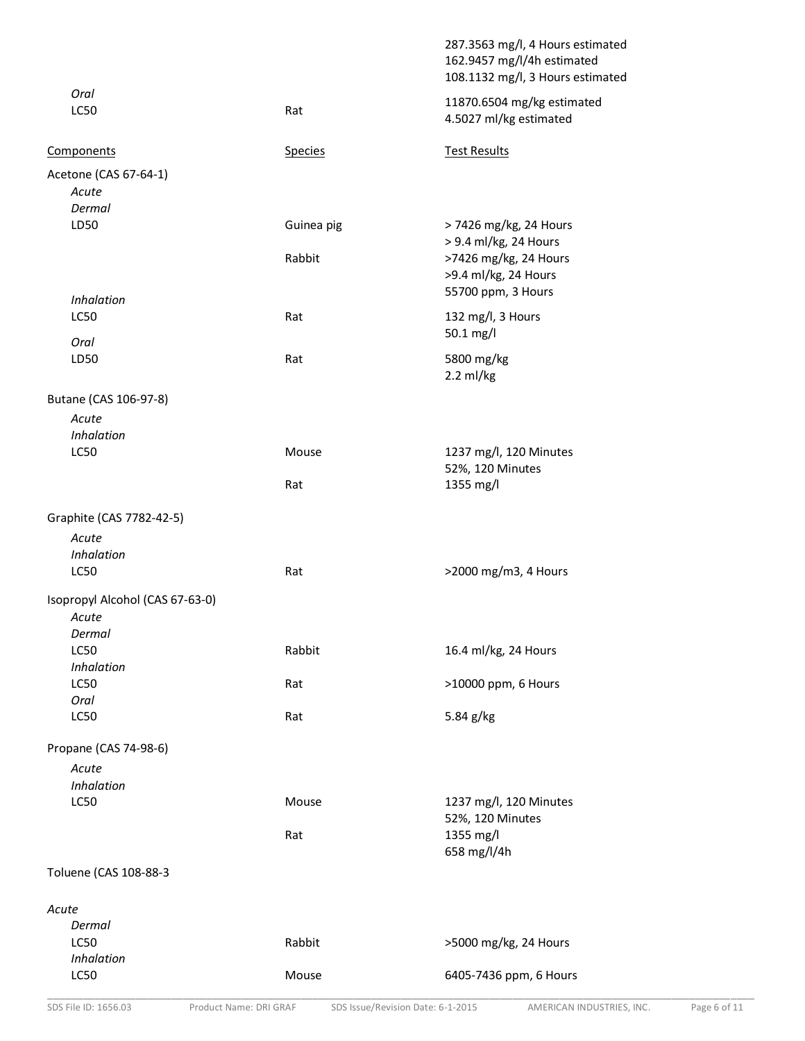|                                                    |                                   | 287.3563 mg/l, 4 Hours estimated<br>162.9457 mg/l/4h estimated<br>108.1132 mg/l, 3 Hours estimated |
|----------------------------------------------------|-----------------------------------|----------------------------------------------------------------------------------------------------|
| Oral<br><b>LC50</b>                                | Rat                               | 11870.6504 mg/kg estimated<br>4.5027 ml/kg estimated                                               |
| Components                                         | <b>Species</b>                    | <b>Test Results</b>                                                                                |
| Acetone (CAS 67-64-1)<br>Acute                     |                                   |                                                                                                    |
| Dermal                                             |                                   |                                                                                                    |
| LD50                                               | Guinea pig                        | > 7426 mg/kg, 24 Hours<br>> 9.4 ml/kg, 24 Hours                                                    |
|                                                    | Rabbit                            | >7426 mg/kg, 24 Hours<br>>9.4 ml/kg, 24 Hours                                                      |
| <b>Inhalation</b>                                  |                                   | 55700 ppm, 3 Hours                                                                                 |
| <b>LC50</b><br>Oral                                | Rat                               | 132 mg/l, 3 Hours<br>50.1 mg/l                                                                     |
| LD50                                               | Rat                               | 5800 mg/kg<br>$2.2$ ml/kg                                                                          |
| Butane (CAS 106-97-8)                              |                                   |                                                                                                    |
| Acute                                              |                                   |                                                                                                    |
| Inhalation                                         |                                   |                                                                                                    |
| <b>LC50</b>                                        | Mouse                             | 1237 mg/l, 120 Minutes<br>52%, 120 Minutes                                                         |
|                                                    | Rat                               | 1355 mg/l                                                                                          |
| Graphite (CAS 7782-42-5)                           |                                   |                                                                                                    |
| Acute                                              |                                   |                                                                                                    |
| Inhalation                                         |                                   |                                                                                                    |
| LC50                                               | Rat                               | >2000 mg/m3, 4 Hours                                                                               |
| Isopropyl Alcohol (CAS 67-63-0)<br>Acute<br>Dermal |                                   |                                                                                                    |
| <b>LC50</b>                                        | Rabbit                            | 16.4 ml/kg, 24 Hours                                                                               |
| Inhalation                                         |                                   |                                                                                                    |
| <b>LC50</b><br>Oral                                | Rat                               | >10000 ppm, 6 Hours                                                                                |
| <b>LC50</b>                                        | Rat                               | 5.84 g/kg                                                                                          |
| Propane (CAS 74-98-6)                              |                                   |                                                                                                    |
| Acute                                              |                                   |                                                                                                    |
| Inhalation                                         |                                   |                                                                                                    |
| <b>LC50</b>                                        | Mouse                             | 1237 mg/l, 120 Minutes<br>52%, 120 Minutes                                                         |
|                                                    | Rat                               | 1355 mg/l<br>658 mg/l/4h                                                                           |
| Toluene (CAS 108-88-3                              |                                   |                                                                                                    |
| Acute                                              |                                   |                                                                                                    |
| Dermal                                             |                                   |                                                                                                    |
| <b>LC50</b>                                        | Rabbit                            | >5000 mg/kg, 24 Hours                                                                              |
| Inhalation<br>LC50                                 | Mouse                             | 6405-7436 ppm, 6 Hours                                                                             |
| SDS File ID: 1656.03<br>Product Name: DRI GRAF     | SDS Issue/Revision Date: 6-1-2015 | Page 6 of 11<br>AMERICAN INDUSTRIES, INC.                                                          |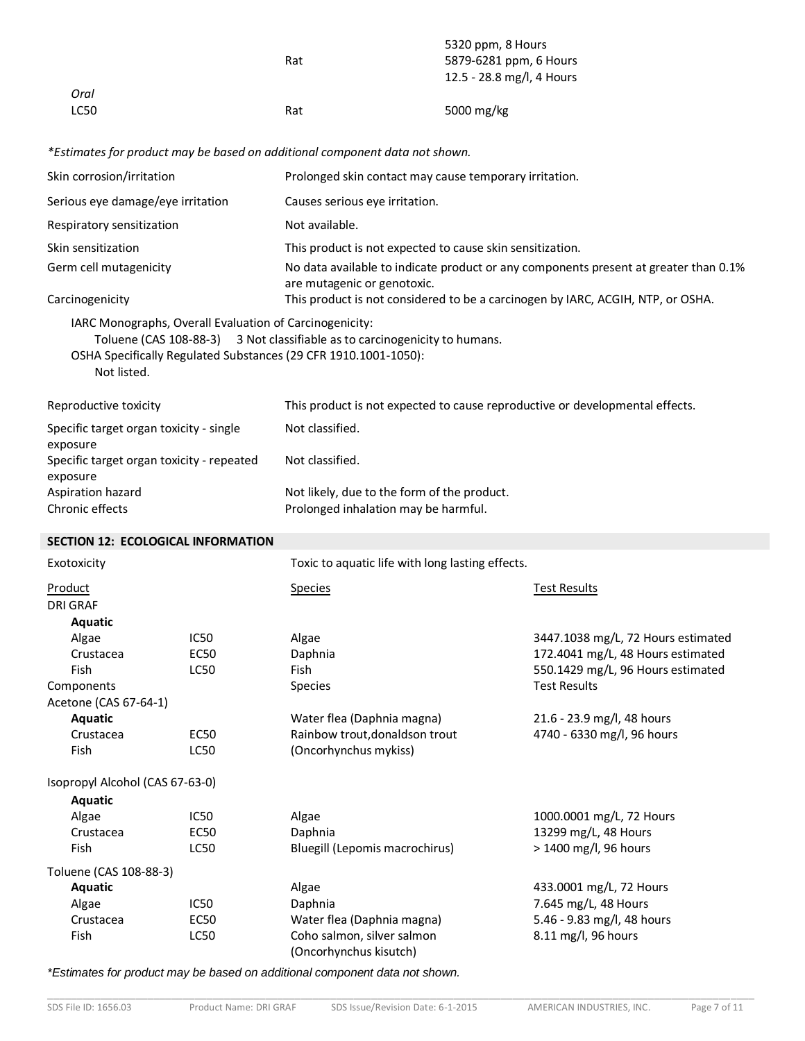|      | Rat | 5320 ppm, 8 Hours<br>5879-6281 ppm, 6 Hours<br>12.5 - 28.8 mg/l, 4 Hours |
|------|-----|--------------------------------------------------------------------------|
| Oral |     |                                                                          |
| LC50 | Rat | 5000 mg/kg                                                               |

*\*Estimates for product may be based on additional component data not shown.*

| Skin corrosion/irritation                             |                                                         | Prolonged skin contact may cause temporary irritation.                                                                                        |                                    |
|-------------------------------------------------------|---------------------------------------------------------|-----------------------------------------------------------------------------------------------------------------------------------------------|------------------------------------|
| Serious eye damage/eye irritation                     |                                                         | Causes serious eye irritation.                                                                                                                |                                    |
| Respiratory sensitization                             |                                                         | Not available.                                                                                                                                |                                    |
| Skin sensitization                                    |                                                         | This product is not expected to cause skin sensitization.                                                                                     |                                    |
| Germ cell mutagenicity                                |                                                         | No data available to indicate product or any components present at greater than 0.1%<br>are mutagenic or genotoxic.                           |                                    |
| Carcinogenicity                                       |                                                         | This product is not considered to be a carcinogen by IARC, ACGIH, NTP, or OSHA.                                                               |                                    |
| Not listed.                                           | IARC Monographs, Overall Evaluation of Carcinogenicity: | Toluene (CAS 108-88-3) 3 Not classifiable as to carcinogenicity to humans.<br>OSHA Specifically Regulated Substances (29 CFR 1910.1001-1050): |                                    |
| Reproductive toxicity                                 |                                                         | This product is not expected to cause reproductive or developmental effects.                                                                  |                                    |
| Specific target organ toxicity - single<br>exposure   |                                                         | Not classified.                                                                                                                               |                                    |
| Specific target organ toxicity - repeated<br>exposure |                                                         | Not classified.                                                                                                                               |                                    |
| Aspiration hazard                                     |                                                         | Not likely, due to the form of the product.                                                                                                   |                                    |
| Chronic effects                                       |                                                         | Prolonged inhalation may be harmful.                                                                                                          |                                    |
| <b>SECTION 12: ECOLOGICAL INFORMATION</b>             |                                                         |                                                                                                                                               |                                    |
| Exotoxicity                                           |                                                         | Toxic to aquatic life with long lasting effects.                                                                                              |                                    |
| Product<br><b>DRI GRAF</b>                            |                                                         | <b>Species</b>                                                                                                                                | <b>Test Results</b>                |
| Aquatic                                               |                                                         |                                                                                                                                               |                                    |
| Algae                                                 | IC50                                                    | Algae                                                                                                                                         | 3447.1038 mg/L, 72 Hours estimated |
| Crustacea                                             | EC50                                                    | Daphnia                                                                                                                                       | 172.4041 mg/L, 48 Hours estimated  |
| Fish                                                  | <b>LC50</b>                                             | Fish                                                                                                                                          | 550.1429 mg/L, 96 Hours estimated  |
| Components                                            |                                                         | Species                                                                                                                                       | <b>Test Results</b>                |
| Acetone (CAS 67-64-1)                                 |                                                         |                                                                                                                                               |                                    |
| <b>Aquatic</b>                                        |                                                         | Water flea (Daphnia magna)                                                                                                                    | 21.6 - 23.9 mg/l, 48 hours         |
| Crustacea                                             | <b>EC50</b>                                             | Rainbow trout, donaldson trout                                                                                                                | 4740 - 6330 mg/l, 96 hours         |
| Fish                                                  | <b>LC50</b>                                             | (Oncorhynchus mykiss)                                                                                                                         |                                    |
| Isopropyl Alcohol (CAS 67-63-0)                       |                                                         |                                                                                                                                               |                                    |
| Aquatic                                               |                                                         |                                                                                                                                               |                                    |
| Algae                                                 | IC50                                                    | Algae                                                                                                                                         | 1000.0001 mg/L, 72 Hours           |
| Crustacea                                             | <b>EC50</b>                                             | Daphnia                                                                                                                                       | 13299 mg/L, 48 Hours               |
| Fish                                                  | <b>LC50</b>                                             | Bluegill (Lepomis macrochirus)                                                                                                                | > 1400 mg/l, 96 hours              |
| Toluene (CAS 108-88-3)                                |                                                         |                                                                                                                                               |                                    |
| Aquatic                                               |                                                         | Algae                                                                                                                                         | 433.0001 mg/L, 72 Hours            |
| Algae                                                 | IC50                                                    | Daphnia                                                                                                                                       | 7.645 mg/L, 48 Hours               |
| Crustacea                                             | <b>EC50</b>                                             | Water flea (Daphnia magna)                                                                                                                    | 5.46 - 9.83 mg/l, 48 hours         |
| Fish                                                  | LC50                                                    | Coho salmon, silver salmon<br>(Oncorhynchus kisutch)                                                                                          | 8.11 mg/l, 96 hours                |
|                                                       |                                                         |                                                                                                                                               |                                    |

*\*Estimates for product may be based on additional component data not shown.*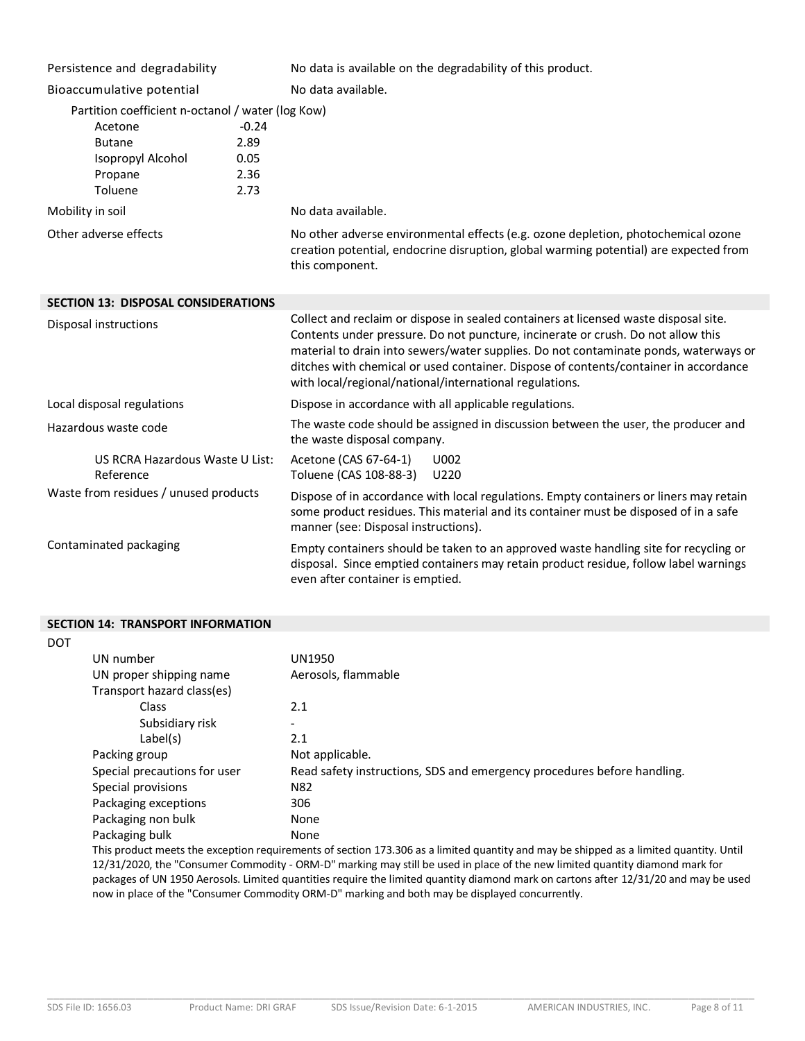| Persistence and degradability                     |         | No data is available on the degradability of this product.                                                                                                                                                                                                                                                                                                                                                          |  |
|---------------------------------------------------|---------|---------------------------------------------------------------------------------------------------------------------------------------------------------------------------------------------------------------------------------------------------------------------------------------------------------------------------------------------------------------------------------------------------------------------|--|
| Bioaccumulative potential                         |         | No data available.                                                                                                                                                                                                                                                                                                                                                                                                  |  |
| Partition coefficient n-octanol / water (log Kow) |         |                                                                                                                                                                                                                                                                                                                                                                                                                     |  |
| Acetone                                           | $-0.24$ |                                                                                                                                                                                                                                                                                                                                                                                                                     |  |
| <b>Butane</b>                                     | 2.89    |                                                                                                                                                                                                                                                                                                                                                                                                                     |  |
| Isopropyl Alcohol                                 | 0.05    |                                                                                                                                                                                                                                                                                                                                                                                                                     |  |
| Propane                                           | 2.36    |                                                                                                                                                                                                                                                                                                                                                                                                                     |  |
| Toluene                                           | 2.73    |                                                                                                                                                                                                                                                                                                                                                                                                                     |  |
| Mobility in soil                                  |         | No data available.                                                                                                                                                                                                                                                                                                                                                                                                  |  |
| Other adverse effects                             |         | No other adverse environmental effects (e.g. ozone depletion, photochemical ozone<br>creation potential, endocrine disruption, global warming potential) are expected from<br>this component.                                                                                                                                                                                                                       |  |
| <b>SECTION 13: DISPOSAL CONSIDERATIONS</b>        |         |                                                                                                                                                                                                                                                                                                                                                                                                                     |  |
| Disposal instructions                             |         | Collect and reclaim or dispose in sealed containers at licensed waste disposal site.<br>Contents under pressure. Do not puncture, incinerate or crush. Do not allow this<br>material to drain into sewers/water supplies. Do not contaminate ponds, waterways or<br>ditches with chemical or used container. Dispose of contents/container in accordance<br>with local/regional/national/international regulations. |  |
| Local disposal regulations                        |         | Dispose in accordance with all applicable regulations.                                                                                                                                                                                                                                                                                                                                                              |  |
| Hazardous waste code                              |         | The waste code should be assigned in discussion between the user, the producer and<br>the waste disposal company.                                                                                                                                                                                                                                                                                                   |  |
| US RCRA Hazardous Waste U List:<br>Reference      |         | Acetone (CAS 67-64-1)<br>U002<br>Toluene (CAS 108-88-3)<br>U220                                                                                                                                                                                                                                                                                                                                                     |  |
| Waste from residues / unused products             |         | Dispose of in accordance with local regulations. Empty containers or liners may retain<br>some product residues. This material and its container must be disposed of in a safe<br>manner (see: Disposal instructions).                                                                                                                                                                                              |  |
| Contaminated packaging                            |         | Empty containers should be taken to an approved waste handling site for recycling or<br>disposal. Since emptied containers may retain product residue, follow label warnings<br>even after container is emptied.                                                                                                                                                                                                    |  |

#### **SECTION 14: TRANSPORT INFORMATION**

| <b>DOT</b> |                              |                                                                         |
|------------|------------------------------|-------------------------------------------------------------------------|
|            | UN number                    | <b>UN1950</b>                                                           |
|            | UN proper shipping name      | Aerosols, flammable                                                     |
|            | Transport hazard class(es)   |                                                                         |
|            | Class                        | 2.1                                                                     |
|            | Subsidiary risk              | -                                                                       |
|            | Label(s)                     | 2.1                                                                     |
|            | Packing group                | Not applicable.                                                         |
|            | Special precautions for user | Read safety instructions, SDS and emergency procedures before handling. |
|            | Special provisions           | N82                                                                     |
|            | Packaging exceptions         | 306                                                                     |
|            | Packaging non bulk           | None                                                                    |
|            | Packaging bulk               | None                                                                    |

This product meets the exception requirements of section 173.306 as a limited quantity and may be shipped as a limited quantity. Until 12/31/2020, the "Consumer Commodity - ORM-D" marking may still be used in place of the new limited quantity diamond mark for packages of UN 1950 Aerosols. Limited quantities require the limited quantity diamond mark on cartons after 12/31/20 and may be used now in place of the "Consumer Commodity ORM-D" marking and both may be displayed concurrently.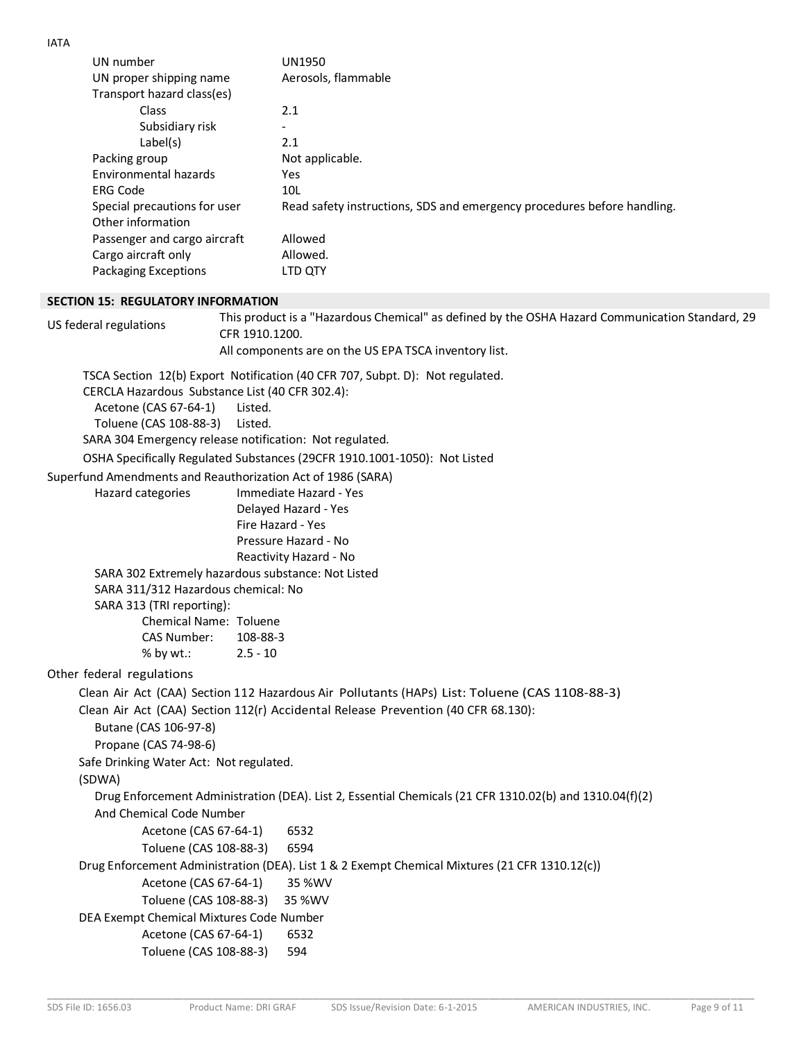| UN number                                                   | <b>UN1950</b>                                                                                           |
|-------------------------------------------------------------|---------------------------------------------------------------------------------------------------------|
| UN proper shipping name                                     | Aerosols, flammable                                                                                     |
| Transport hazard class(es)                                  |                                                                                                         |
| Class                                                       | 2.1                                                                                                     |
| Subsidiary risk                                             |                                                                                                         |
| Label(s)                                                    | 2.1                                                                                                     |
| Packing group<br><b>Environmental hazards</b>               | Not applicable.                                                                                         |
| <b>ERG Code</b>                                             | Yes<br>10L                                                                                              |
| Special precautions for user                                | Read safety instructions, SDS and emergency procedures before handling.                                 |
| Other information                                           |                                                                                                         |
| Passenger and cargo aircraft                                | Allowed                                                                                                 |
| Cargo aircraft only                                         | Allowed.                                                                                                |
| <b>Packaging Exceptions</b>                                 | LTD QTY                                                                                                 |
| <b>SECTION 15: REGULATORY INFORMATION</b>                   |                                                                                                         |
|                                                             | This product is a "Hazardous Chemical" as defined by the OSHA Hazard Communication Standard, 29         |
| US federal regulations<br>CFR 1910.1200.                    |                                                                                                         |
|                                                             | All components are on the US EPA TSCA inventory list.                                                   |
|                                                             | TSCA Section 12(b) Export Notification (40 CFR 707, Subpt. D): Not regulated.                           |
| CERCLA Hazardous Substance List (40 CFR 302.4):             |                                                                                                         |
| Acetone (CAS 67-64-1)<br>Listed.                            |                                                                                                         |
| Toluene (CAS 108-88-3)<br>Listed.                           |                                                                                                         |
| SARA 304 Emergency release notification: Not regulated.     |                                                                                                         |
|                                                             | OSHA Specifically Regulated Substances (29CFR 1910.1001-1050): Not Listed                               |
| Superfund Amendments and Reauthorization Act of 1986 (SARA) |                                                                                                         |
| Hazard categories                                           | Immediate Hazard - Yes                                                                                  |
|                                                             | Delayed Hazard - Yes                                                                                    |
|                                                             | Fire Hazard - Yes<br>Pressure Hazard - No                                                               |
|                                                             | Reactivity Hazard - No                                                                                  |
| SARA 302 Extremely hazardous substance: Not Listed          |                                                                                                         |
| SARA 311/312 Hazardous chemical: No                         |                                                                                                         |
| SARA 313 (TRI reporting):                                   |                                                                                                         |
| Chemical Name: Toluene                                      |                                                                                                         |
| CAS Number:<br>108-88-3                                     |                                                                                                         |
| $%$ by wt.:<br>$2.5 - 10$                                   |                                                                                                         |
| Other federal regulations                                   |                                                                                                         |
|                                                             | Clean Air Act (CAA) Section 112 Hazardous Air Pollutants (HAPs) List: Toluene (CAS 1108-88-3)           |
|                                                             | Clean Air Act (CAA) Section 112(r) Accidental Release Prevention (40 CFR 68.130):                       |
| Butane (CAS 106-97-8)                                       |                                                                                                         |
| Propane (CAS 74-98-6)                                       |                                                                                                         |
| Safe Drinking Water Act: Not regulated.                     |                                                                                                         |
| (SDWA)                                                      |                                                                                                         |
| And Chemical Code Number                                    | Drug Enforcement Administration (DEA). List 2, Essential Chemicals (21 CFR 1310.02(b) and 1310.04(f)(2) |
| Acetone (CAS 67-64-1)                                       | 6532                                                                                                    |
| Toluene (CAS 108-88-3)                                      | 6594                                                                                                    |
|                                                             | Drug Enforcement Administration (DEA). List 1 & 2 Exempt Chemical Mixtures (21 CFR 1310.12(c))          |
| Acetone (CAS 67-64-1)                                       | 35 %WV                                                                                                  |
| Toluene (CAS 108-88-3)                                      | 35 %WV                                                                                                  |
| DEA Exempt Chemical Mixtures Code Number                    |                                                                                                         |
| Acetone (CAS 67-64-1)                                       | 6532                                                                                                    |
| Toluene (CAS 108-88-3)                                      | 594                                                                                                     |
|                                                             |                                                                                                         |

IATA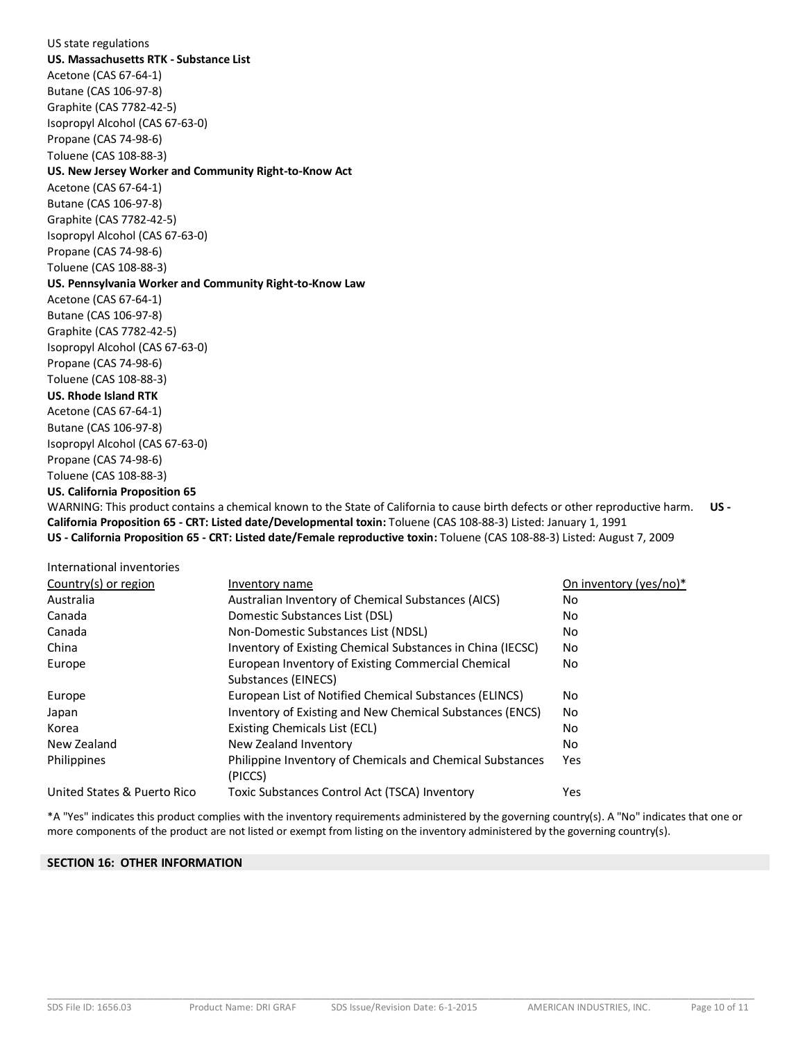## US state regulations **US. Massachusetts RTK - Substance List** Acetone (CAS 67-64-1) Butane (CAS 106-97-8) Graphite (CAS 7782-42-5) Isopropyl Alcohol (CAS 67-63-0) Propane (CAS 74-98-6) Toluene (CAS 108-88-3) **US. New Jersey Worker and Community Right-to-Know Act** Acetone (CAS 67-64-1) Butane (CAS 106-97-8) Graphite (CAS 7782-42-5) Isopropyl Alcohol (CAS 67-63-0) Propane (CAS 74-98-6) Toluene (CAS 108-88-3) **US. Pennsylvania Worker and Community Right-to-Know Law** Acetone (CAS 67-64-1) Butane (CAS 106-97-8) Graphite (CAS 7782-42-5) Isopropyl Alcohol (CAS 67-63-0) Propane (CAS 74-98-6) Toluene (CAS 108-88-3) **US. Rhode Island RTK** Acetone (CAS 67-64-1) Butane (CAS 106-97-8) Isopropyl Alcohol (CAS 67-63-0) Propane (CAS 74-98-6) Toluene (CAS 108-88-3) **US. California Proposition 65** WARNING: This product contains a chemical known to the State of California to cause birth defects or other reproductive harm. **US - California Proposition 65 - CRT: Listed date/Developmental toxin:** Toluene (CAS 108-88-3) Listed: January 1, 1991

**US - California Proposition 65 - CRT: Listed date/Female reproductive toxin:** Toluene (CAS 108-88-3) Listed: August 7, 2009

| International inventories   |                                                                           |                        |
|-----------------------------|---------------------------------------------------------------------------|------------------------|
| Country(s) or region        | Inventory name                                                            | On inventory (yes/no)* |
| Australia                   | Australian Inventory of Chemical Substances (AICS)                        | No.                    |
| Canada                      | Domestic Substances List (DSL)                                            | No.                    |
| Canada                      | Non-Domestic Substances List (NDSL)                                       | No.                    |
| China                       | Inventory of Existing Chemical Substances in China (IECSC)                | No                     |
| Europe                      | European Inventory of Existing Commercial Chemical<br>Substances (EINECS) | No.                    |
| Europe                      | European List of Notified Chemical Substances (ELINCS)                    | No.                    |
| Japan                       | Inventory of Existing and New Chemical Substances (ENCS)                  | No                     |
| Korea                       | Existing Chemicals List (ECL)                                             | No                     |
| New Zealand                 | New Zealand Inventory                                                     | No                     |
| Philippines                 | Philippine Inventory of Chemicals and Chemical Substances<br>(PICCS)      | Yes                    |
| United States & Puerto Rico | Toxic Substances Control Act (TSCA) Inventory                             | Yes                    |

\*A "Yes" indicates this product complies with the inventory requirements administered by the governing country(s). A "No" indicates that one or more components of the product are not listed or exempt from listing on the inventory administered by the governing country(s).

# **SECTION 16: OTHER INFORMATION**